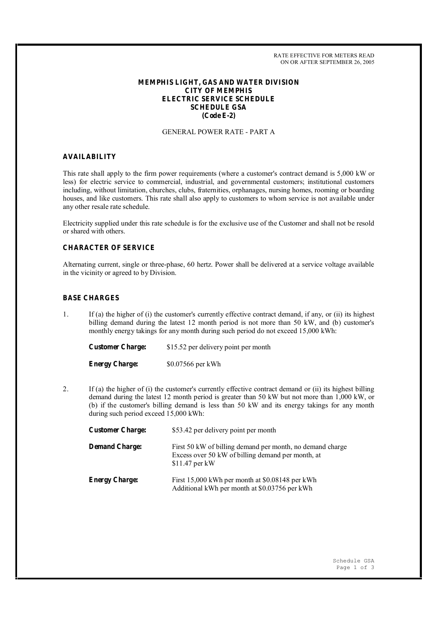RATE EFFECTIVE FOR METERS READ ON OR AFTER SEPTEMBER 26, 2005

## **MEMPHIS LIGHT, GAS AND WATER DIVISION CITY OF MEMPHIS ELECTRIC SERVICE SCHEDULE SCHEDULE GSA (Code E-2)**

#### GENERAL POWER RATE - PART A

#### **AVAILABILITY**

This rate shall apply to the firm power requirements (where a customer's contract demand is 5,000 kW or less) for electric service to commercial, industrial, and governmental customers; institutional customers including, without limitation, churches, clubs, fraternities, orphanages, nursing homes, rooming or boarding houses, and like customers. This rate shall also apply to customers to whom service is not available under any other resale rate schedule.

Electricity supplied under this rate schedule is for the exclusive use of the Customer and shall not be resold or shared with others.

## **CHARACTER OF SERVICE**

Alternating current, single or three-phase, 60 hertz. Power shall be delivered at a service voltage available in the vicinity or agreed to by Division.

# **BASE CHARGES**

1. If (a) the higher of (i) the customer's currently effective contract demand, if any, or (ii) its highest billing demand during the latest 12 month period is not more than 50 kW, and (b) customer's monthly energy takings for any month during such period do not exceed 15,000 kWh:

**Customer Charge:** \$15.52 per delivery point per month

**Energy Charge:** \$0.07566 per kWh

2. If (a) the higher of (i) the customer's currently effective contract demand or (ii) its highest billing demand during the latest 12 month period is greater than 50 kW but not more than 1,000 kW, or (b) if the customer's billing demand is less than 50 kW and its energy takings for any month during such period exceed 15,000 kWh:

| <b>Customer Charge:</b> | \$53.42 per delivery point per month                                                                                              |
|-------------------------|-----------------------------------------------------------------------------------------------------------------------------------|
| <b>Demand Charge:</b>   | First 50 kW of billing demand per month, no demand charge<br>Excess over 50 kW of billing demand per month, at<br>$$11.47$ per kW |
| <b>Energy Charge:</b>   | First 15,000 kWh per month at \$0.08148 per kWh<br>Additional kWh per month at \$0.03756 per kWh                                  |

Schedule GSA Page 1 of 3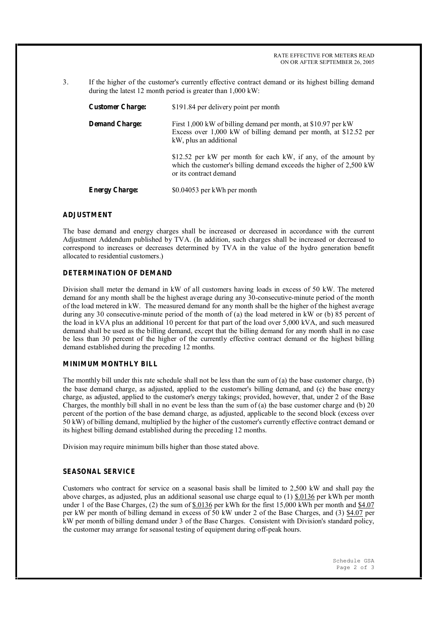RATE EFFECTIVE FOR METERS READ ON OR AFTER SEPTEMBER 26, 2005

3. If the higher of the customer's currently effective contract demand or its highest billing demand during the latest 12 month period is greater than 1,000 kW:

| <b>Customer Charge:</b> | \$191.84 per delivery point per month                                                                                                                          |
|-------------------------|----------------------------------------------------------------------------------------------------------------------------------------------------------------|
| <b>Demand Charge:</b>   | First 1,000 kW of billing demand per month, at \$10.97 per kW<br>Excess over 1,000 kW of billing demand per month, at \$12.52 per<br>kW, plus an additional    |
|                         | \$12.52 per kW per month for each kW, if any, of the amount by<br>which the customer's billing demand exceeds the higher of 2,500 kW<br>or its contract demand |
| <b>Energy Charge:</b>   | \$0.04053 per kWh per month                                                                                                                                    |

## **ADJUSTMENT**

The base demand and energy charges shall be increased or decreased in accordance with the current Adjustment Addendum published by TVA. (In addition, such charges shall be increased or decreased to correspond to increases or decreases determined by TVA in the value of the hydro generation benefit allocated to residential customers.)

# **DETERMINATION OF DEMAND**

Division shall meter the demand in kW of all customers having loads in excess of 50 kW. The metered demand for any month shall be the highest average during any 30-consecutive-minute period of the month of the load metered in kW. The measured demand for any month shall be the higher of the highest average during any 30 consecutive-minute period of the month of (a) the load metered in kW or (b) 85 percent of the load in kVA plus an additional 10 percent for that part of the load over 5,000 kVA, and such measured demand shall be used as the billing demand, except that the billing demand for any month shall in no case be less than 30 percent of the higher of the currently effective contract demand or the highest billing demand established during the preceding 12 months.

## **MINIMUM MONTHLY BILL**

The monthly bill under this rate schedule shall not be less than the sum of (a) the base customer charge, (b) the base demand charge, as adjusted, applied to the customer's billing demand, and (c) the base energy charge, as adjusted, applied to the customer's energy takings; provided, however, that, under 2 of the Base Charges, the monthly bill shall in no event be less than the sum of (a) the base customer charge and (b) 20 percent of the portion of the base demand charge, as adjusted, applicable to the second block (excess over 50 kW) of billing demand, multiplied by the higher of the customer's currently effective contract demand or its highest billing demand established during the preceding 12 months.

Division may require minimum bills higher than those stated above.

#### **SEASONAL SERVICE**

Customers who contract for service on a seasonal basis shall be limited to 2,500 kW and shall pay the above charges, as adjusted, plus an additional seasonal use charge equal to (1) \$.0136 per kWh per month under 1 of the Base Charges, (2) the sum of \$.0136 per kWh for the first 15,000 kWh per month and \$4.07 per kW per month of billing demand in excess of 50 kW under 2 of the Base Charges, and (3) \$4.07 per kW per month of billing demand under 3 of the Base Charges. Consistent with Division's standard policy, the customer may arrange for seasonal testing of equipment during off-peak hours.